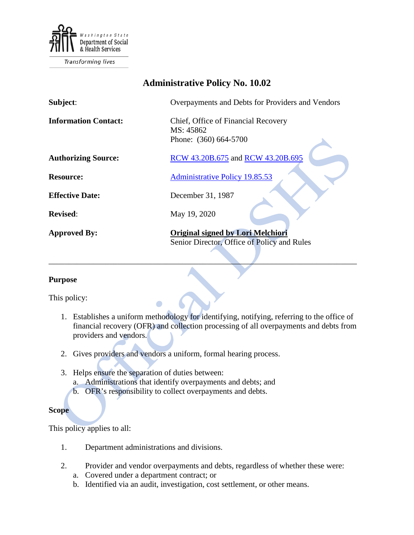

Transforming lives

# **Administrative Policy No. 10.02**

| Subject:                    | Overpayments and Debts for Providers and Vendors                                 |
|-----------------------------|----------------------------------------------------------------------------------|
| <b>Information Contact:</b> | Chief, Office of Financial Recovery<br>MS: 45862<br>Phone: (360) 664-5700        |
| <b>Authorizing Source:</b>  | RCW 43.20B.675 and RCW 43.20B.695                                                |
| <b>Resource:</b>            | <b>Administrative Policy 19.85.53</b>                                            |
| <b>Effective Date:</b>      | December 31, 1987                                                                |
| <b>Revised:</b>             | May 19, 2020                                                                     |
| <b>Approved By:</b>         | Original signed by Lori Melchiori<br>Senior Director, Office of Policy and Rules |

#### **Purpose**

This policy:

1. Establishes a uniform methodology for identifying, notifying, referring to the office of financial recovery (OFR) and collection processing of all overpayments and debts from providers and vendors.

\_\_\_\_\_\_\_\_\_\_\_\_\_\_\_\_\_\_\_\_\_\_\_\_\_\_\_\_\_\_\_\_\_\_\_\_\_\_\_\_\_\_\_\_\_\_\_\_\_\_\_\_\_\_\_\_\_\_\_\_\_\_\_\_\_\_\_\_\_\_\_\_\_\_\_\_

- 2. Gives providers and vendors a uniform, formal hearing process.
- 3. Helps ensure the separation of duties between:
	- a. Administrations that identify overpayments and debts; and
	- b. OFR's responsibility to collect overpayments and debts.

### **Scope**

This policy applies to all:

- 1. Department administrations and divisions.
- 2. Provider and vendor overpayments and debts, regardless of whether these were:
	- a. Covered under a department contract; or
	- b. Identified via an audit, investigation, cost settlement, or other means.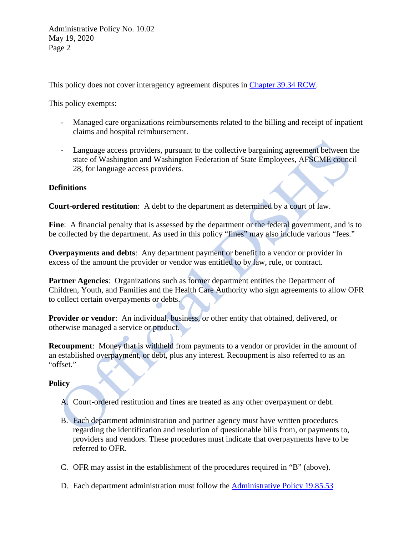Administrative Policy No. 10.02 May 19, 2020 Page 2

This policy does not cover interagency agreement disputes in [Chapter 39.34 RCW.](http://apps.leg.wa.gov/RCW/default.aspx?cite=39.34)

This policy exempts:

- Managed care organizations reimbursements related to the billing and receipt of inpatient claims and hospital reimbursement.
- Language access providers, pursuant to the collective bargaining agreement between the state of Washington and Washington Federation of State Employees, AFSCME council 28, for language access providers.

## **Definitions**

**Court-ordered restitution**: A debt to the department as determined by a court of law.

Fine: A financial penalty that is assessed by the department or the federal government, and is to be collected by the department. As used in this policy "fines" may also include various "fees."

**Overpayments and debts**: Any department payment or benefit to a vendor or provider in excess of the amount the provider or vendor was entitled to by law, rule, or contract.

**Partner Agencies**: Organizations such as former department entities the Department of Children, Youth, and Families and the Health Care Authority who sign agreements to allow OFR to collect certain overpayments or debts.

**Provider or vendor**: An individual, business, or other entity that obtained, delivered, or otherwise managed a service or product.

**Recoupment:** Money that is withheld from payments to a vendor or provider in the amount of an established overpayment, or debt, plus any interest. Recoupment is also referred to as an "offset."

### **Policy**

- A. Court-ordered restitution and fines are treated as any other overpayment or debt.
- B. Each department administration and partner agency must have written procedures regarding the identification and resolution of questionable bills from, or payments to, providers and vendors. These procedures must indicate that overpayments have to be referred to OFR.
- C. OFR may assist in the establishment of the procedures required in "B" (above).
- D. Each department administration must follow the [Administrative Policy 19.85.53](http://one.dshs.wa.lcl/Policies/Administrative/DSHS-AP-19-85-53.pdf)